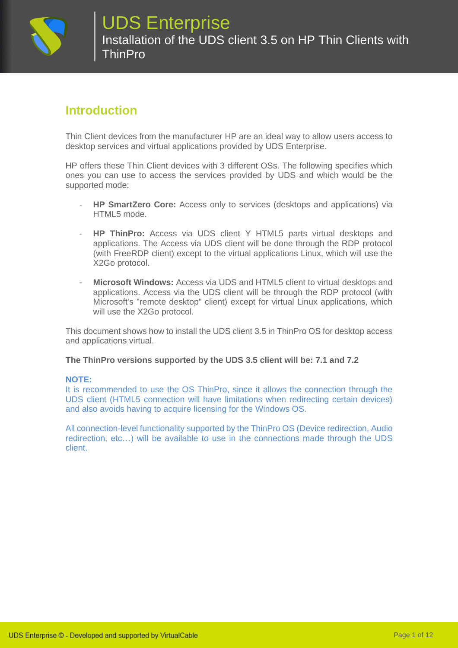

### **Introduction**

Thin Client devices from the manufacturer HP are an ideal way to allow users access to desktop services and virtual applications provided by UDS Enterprise.

HP offers these Thin Client devices with 3 different OSs. The following specifies which ones you can use to access the services provided by UDS and which would be the supported mode:

- **HP SmartZero Core:** Access only to services (desktops and applications) via HTML5 mode.
- **HP ThinPro:** Access via UDS client Y HTML5 parts virtual desktops and applications. The Access via UDS client will be done through the RDP protocol (with FreeRDP client) except to the virtual applications Linux, which will use the X2Go protocol.
- **Microsoft Windows:** Access via UDS and HTML5 client to virtual desktops and applications. Access via the UDS client will be through the RDP protocol (with Microsoft's "remote desktop" client) except for virtual Linux applications, which will use the X2Go protocol.

This document shows how to install the UDS client 3.5 in ThinPro OS for desktop access and applications virtual.

#### **The ThinPro versions supported by the UDS 3.5 client will be: 7.1 and 7.2**

#### **NOTE:**

It is recommended to use the OS ThinPro, since it allows the connection through the UDS client (HTML5 connection will have limitations when redirecting certain devices) and also avoids having to acquire licensing for the Windows OS.

All connection-level functionality supported by the ThinPro OS (Device redirection, Audio redirection, etc…) will be available to use in the connections made through the UDS client.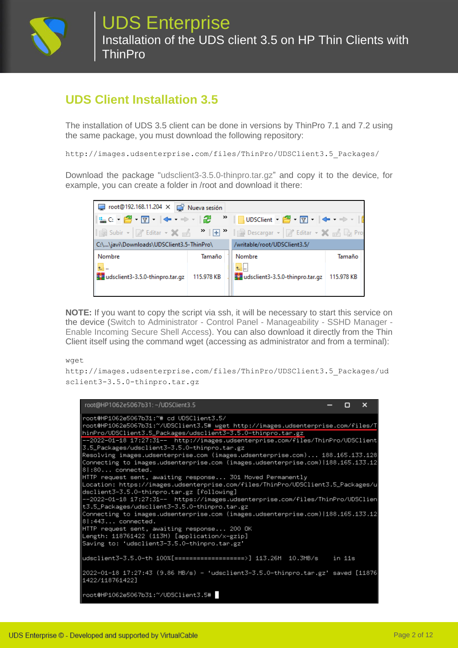

## **UDS Client Installation 3.5**

The installation of UDS 3.5 client can be done in versions by ThinPro 7.1 and 7.2 using the same package, you must download the following repository:

http://images.udsenterprise.com/files/ThinPro/UDSClient3.5\_Packages/

Download the package "udsclient3-3.5.0-thinpro.tar.gz" and copy it to the device, for example, you can create a folder in /root and download it there:



**NOTE:** If you want to copy the script via ssh, it will be necessary to start this service on the device (Switch to Administrator - Control Panel - Manageability - SSHD Manager - Enable Incoming Secure Shell Access). You can also download it directly from the Thin Client itself using the command wget (accessing as administrator and from a terminal):

wget

http://images.udsenterprise.com/files/ThinPro/UDSClient3.5\_Packages/ud sclient3-3.5.0-thinpro.tar.gz

| root@HP1062e5067b31:~/UDSClient3.5                                                                                                                                                                                   | n      | $\boldsymbol{\mathsf{x}}$ |
|----------------------------------------------------------------------------------------------------------------------------------------------------------------------------------------------------------------------|--------|---------------------------|
| root@HP1062e5067b31:~# cd UDSClient3.5/<br>root@HP1062e5067b31:~/UDSClient3.5# wget http://images.udsenterprise.com/files/T<br>hinPro/UDSClient3.5_Packages/udsclient3-3.5.0-thinpro.tar.gz                          |        |                           |
| --2022-01-18 17:27:31-- http://images.udsenterprise.com/files/ThinPro/UDSClient<br>3.5_Packages/udsclient3-3.5.0-thinpro.tar.gz                                                                                      |        |                           |
| Resolving images.udsenterprise.com (images.udsenterprise.com) 188.165.133.128<br>Connecting to images.udsenterprise.com (images.udsenterprise.com) 188.165.133.12 <br>$8 :80$ connected.                             |        |                           |
| HTTP request sent, awaiting response 301 Moved Permanently<br>Location: https://images.udsenterprise.com/files/ThinPro/UDSClient3.5_Packages/u<br>dsclient3-3.5.0-thinpro.tar.gz [following]                         |        |                           |
| --2022-01-18 17:27:31-- https://images.udsenterprise.com/files/ThinPro/UDSClien<br>t3.5_Packages/udsclient3-3.5.0-thinpro.tar.gz<br>Connecting to images.udsenterprise.com (images.udsenterprise.com) 188.165.133.12 |        |                           |
| $8 :443$ connected.<br>HTTP request sent, awaiting response 200 OK<br>Length: 118761422 (113M) [application/x-gzip]<br>Saving to: 'udsclient3-3.5.0-thinpro.tar.gz'                                                  |        |                           |
| udsclient3–3.5.0–th 100%[===================>] 113.26M                     10.3MB/s                                                                                                                                  | in 11s |                           |
| 2022-01-18 17:27:43 (9.86 MB/s) - 'udsclient3-3.5.0-thinpro.tar.gz' saved [11876<br>1422/118761422]                                                                                                                  |        |                           |
| root@HP1062e5067b31:~/UDSClient3.5#                                                                                                                                                                                  |        |                           |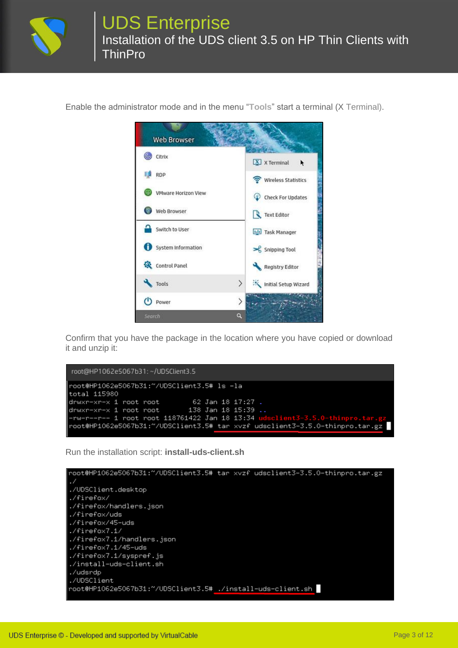

Enable the administrator mode and in the menu "**Tools**" start a terminal (X Terminal).



Confirm that you have the package in the location where you have copied or download it and unzip it:

```
root@HP1062e5067b31:~/UDSClient3.5
root@HP1062e5067b31:~/UDSClient3.5# ls -la
total 115980
                        62 Jan 18 17:27 .
drwxr-xr-x 1 root root
drwxr-xr-x 1 root root
root@HP1062e5067b31:~/UDSClient3.5# tar xvzf udsclient3-3.5.0-thinpro.tar.gz
```
Run the installation script: **install-uds-client.sh**

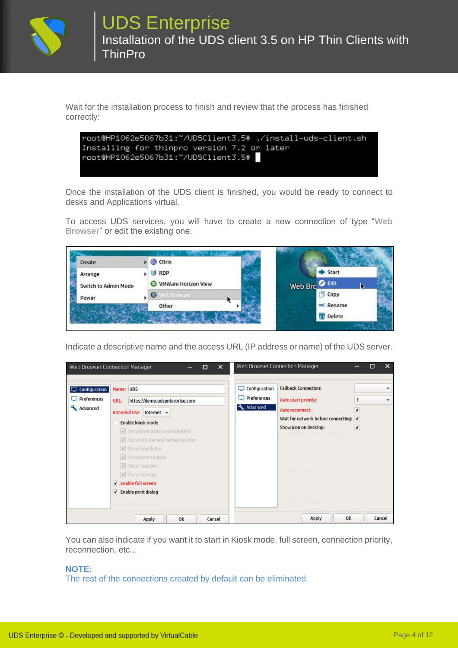

Wait for the installation process to finish and review that the process has finished correctly:

```
root@HP1062e5067b31:~/UDSClient3.5# ./install-uds-client.sh
Installing for thinpro version 7.2 or later
root@HP1062e5067b31:~/UDSClient3.5#
```
Once the installation of the UDS client is finished, you would be ready to connect to desks and Applications virtual.

To access UDS services, you will have to create a new connection of type "**Web Browser**" or edit the existing one:

| Create               | Citrix                             |                   |  |
|----------------------|------------------------------------|-------------------|--|
| Arrange              | <b>RDP</b><br>23                   | Start             |  |
| Switch to Admin Mode | <b>VMWare Horizon View</b><br>(FB) | Web Brc & Edit    |  |
| Power                | Web Browser                        | Copy              |  |
|                      | Other                              | Rename            |  |
|                      |                                    | <b>III</b> Delete |  |

Indicate a descriptive name and the access URL (IP address or name) of the UDS server.

|                                                 | Web Browser Connection Manager<br>×<br>◻                                                                                                                                                                                                                                                                    |                                                        | Web Browser Connection Manager                                                                                                           |             | □      | × |
|-------------------------------------------------|-------------------------------------------------------------------------------------------------------------------------------------------------------------------------------------------------------------------------------------------------------------------------------------------------------------|--------------------------------------------------------|------------------------------------------------------------------------------------------------------------------------------------------|-------------|--------|---|
| Configuration<br>$\Box$ Preferences<br>Advanced | Name: UDS<br>https://demo.udsenterprise.com<br>URL:<br>Intended Use: Internet =<br>Enable kiosk mode<br>V Show Back and Forward Button<br>Show URL Bar and Refresh Button<br>V Show Search Bar<br>V Show Home Button<br>V Show Tabs Bar<br>V Show Task Bar<br>V Enable full screen<br>√ Enable print dialog | Configuration<br>لسا<br>$\Box$ Preferences<br>Advanced | <b>Fallback Connection:</b><br>Auto start priority:<br>Auto reconnect:<br>Wait for network before connecting: √<br>Show icon on desktop: | 1<br>√<br>٠ |        | ÷ |
|                                                 | Ok<br>Apply<br>Cancel                                                                                                                                                                                                                                                                                       |                                                        | Ok<br>Apply                                                                                                                              |             | Cancel |   |

You can also indicate if you want it to start in Kiosk mode, full screen, connection priority, reconnection, etc...

#### **NOTE:**

The rest of the connections created by default can be eliminated.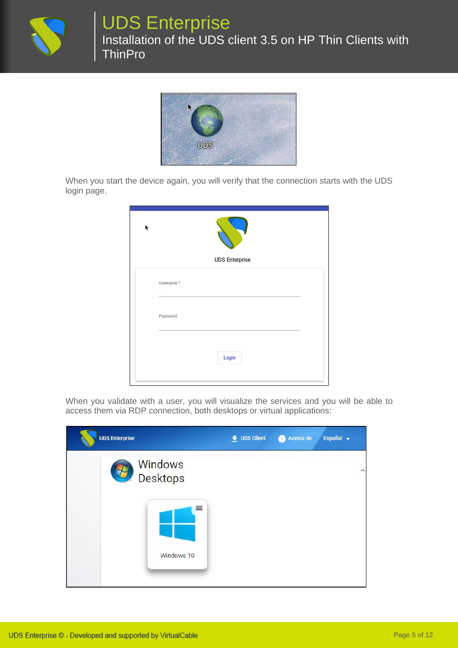

## UDS Enterprise

Installation of the UDS client 3.5 on HP Thin Clients with **ThinPro** 



When you start the device again, you will verify that the connection starts with the UDS login page.

| ĸ |                       |
|---|-----------------------|
|   | <b>UDS Enterprise</b> |
|   | Usemame*              |
|   | Password              |
|   | Login                 |
|   |                       |

When you validate with a user, you will visualize the services and you will be able to access them via RDP connection, both desktops or virtual applications:

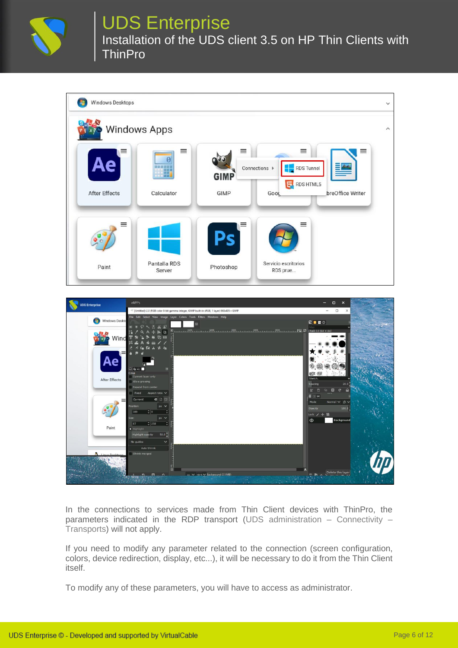

## UDS Enterprise

Installation of the UDS client 3.5 on HP Thin Clients with **ThinPro** 





In the connections to services made from Thin Client devices with ThinPro, the parameters indicated in the RDP transport (UDS administration – Connectivity – Transports) will not apply.

If you need to modify any parameter related to the connection (screen configuration, colors, device redirection, display, etc...), it will be necessary to do it from the Thin Client itself.

To modify any of these parameters, you will have to access as administrator.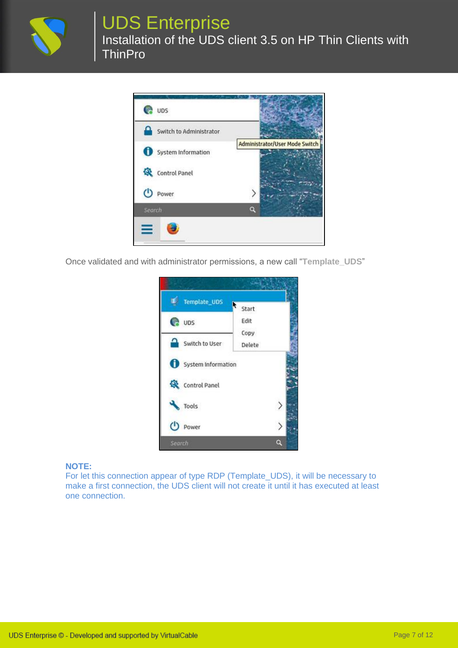

# UDS Enterprise

Installation of the UDS client 3.5 on HP Thin Clients with **ThinPro** 



Once validated and with administrator permissions, a new call "**Template\_UDS**"



#### **NOTE:**

For let this connection appear of type RDP (Template\_UDS), it will be necessary to make a first connection, the UDS client will not create it until it has executed at least one connection.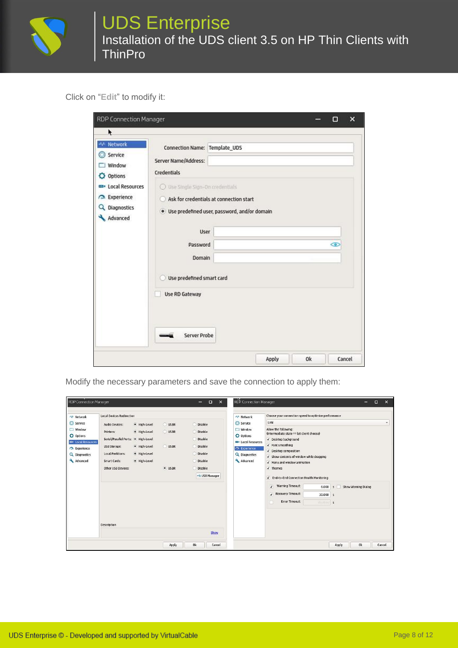

## UDS Enterprise Installation of the UDS client 3.5 on HP Thin Clients with **ThinPro**

#### Click on "**Edit**" to modify it:

| RDP Connection Manager                                                      |                                                                             |                                                |       |    | Ω       | ×      |
|-----------------------------------------------------------------------------|-----------------------------------------------------------------------------|------------------------------------------------|-------|----|---------|--------|
| ٠                                                                           |                                                                             |                                                |       |    |         |        |
| +++ Network<br>Service<br>Window<br>71<br><b>Options</b>                    | Connection Name: Template_UDS<br>Server Name/Address:<br>Credentials        |                                                |       |    |         |        |
| <b>EB</b> Local Resources<br><b>Experience</b><br>Q Diagnostics<br>Advanced | O Use Single Sign-On credentials<br>Ask for credentials at connection start | · Use predefined user, password, and/or domain |       |    |         |        |
|                                                                             | <b>User</b><br>Password                                                     |                                                |       |    | $\circ$ |        |
|                                                                             | <b>Domain</b>                                                               |                                                |       |    |         |        |
|                                                                             | Use predefined smart card<br><b>Use RD Gateway</b>                          |                                                |       |    |         |        |
|                                                                             | Server Probe                                                                |                                                |       |    |         |        |
|                                                                             |                                                                             |                                                | Apply | 0k |         | Cancel |

Modify the necessary parameters and save the connection to apply them:

| -'+' Network                                                                                                             | <b>Local Devices Redirection</b>                                                                                                                                                                                                                                     |                                              |                                                                                                                          | -++ Network                                                                                                                    | Choose your connection speed to optimize performance                                                                                                                                                                                                                                                                                                                                                                                                  |
|--------------------------------------------------------------------------------------------------------------------------|----------------------------------------------------------------------------------------------------------------------------------------------------------------------------------------------------------------------------------------------------------------------|----------------------------------------------|--------------------------------------------------------------------------------------------------------------------------|--------------------------------------------------------------------------------------------------------------------------------|-------------------------------------------------------------------------------------------------------------------------------------------------------------------------------------------------------------------------------------------------------------------------------------------------------------------------------------------------------------------------------------------------------------------------------------------------------|
| Service<br>$\Box$ Window<br><b>Q</b> Options<br><b>Local Resources</b><br><b>Experience</b><br>Q Diagnostics<br>Advanced | <b>Audio Devices:</b><br>· High-Level<br>· High-Level<br>Printers:<br>· High-Level<br>Serial/Parallel Ports:<br>· High-Level<br><b>USB Storage:</b><br><b>Local Partitions:</b><br>· High-Level<br>· High-Level<br>Smart Cards:<br>Other USB Devices:<br>Description | USBR<br><b>USBR</b><br><b>USBR</b><br>· USBR | O Disable<br><b>O</b> Disable<br><b>Disable</b><br>O Disable<br><b>Disable</b><br>O Disable<br>Disable<br>-- USB Manager | Service<br>$\Box$ Window<br><b>Q</b> Options<br><b>ED</b> Local Resources<br><b>CA</b> Experience<br>Q Diagnostics<br>Advanced | LAN<br>Allow the following:<br>(Intermediate state == let client choose)<br>V Desktop background<br>√ Font smoothing<br>√ Desktop composition<br>I Show contents of window while dragging<br>V Menu and window animation<br>$\sqrt{}$ Themes<br>√ End-to-End Connection Health Monitoring<br>Warning Timeout:<br>$\overline{I}$<br>Show Warning Dialog<br>6.000<br>$\mathsf{s}$<br>Recovery Timeout:<br>$30.000$ s<br>Error Timeout:<br>Hisables<br>5 |
|                                                                                                                          |                                                                                                                                                                                                                                                                      |                                              | Show                                                                                                                     |                                                                                                                                |                                                                                                                                                                                                                                                                                                                                                                                                                                                       |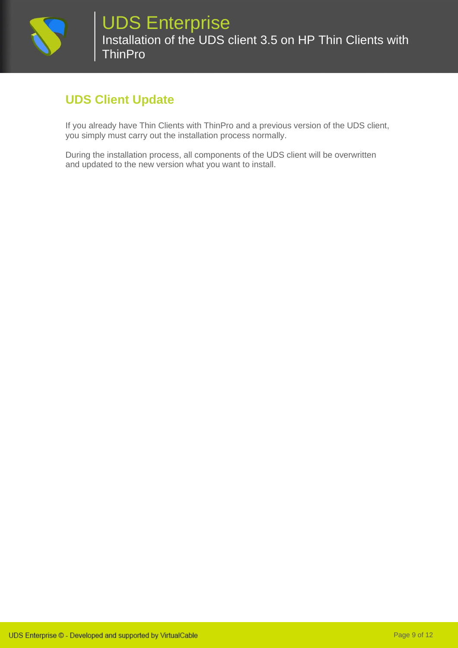

## **UDS Client Update**

If you already have Thin Clients with ThinPro and a previous version of the UDS client, you simply must carry out the installation process normally.

During the installation process, all components of the UDS client will be overwritten and updated to the new version what you want to install.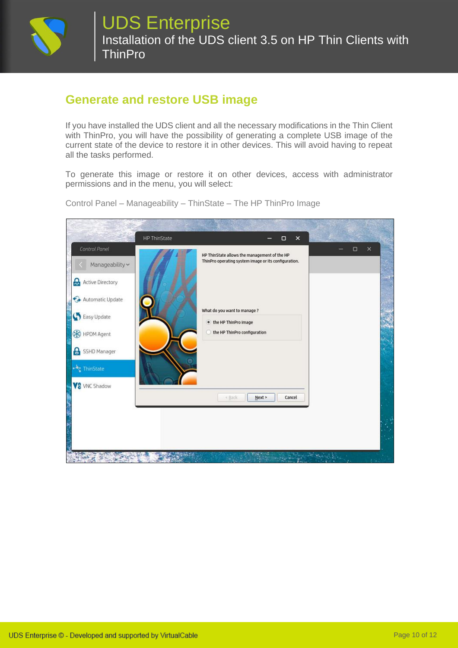

### **Generate and restore USB image**

If you have installed the UDS client and all the necessary modifications in the Thin Client with ThinPro, you will have the possibility of generating a complete USB image of the current state of the device to restore it in other devices. This will avoid having to repeat all the tasks performed.

To generate this image or restore it on other devices, access with administrator permissions and in the menu, you will select:



Control Panel – Manageability – ThinState – The HP ThinPro Image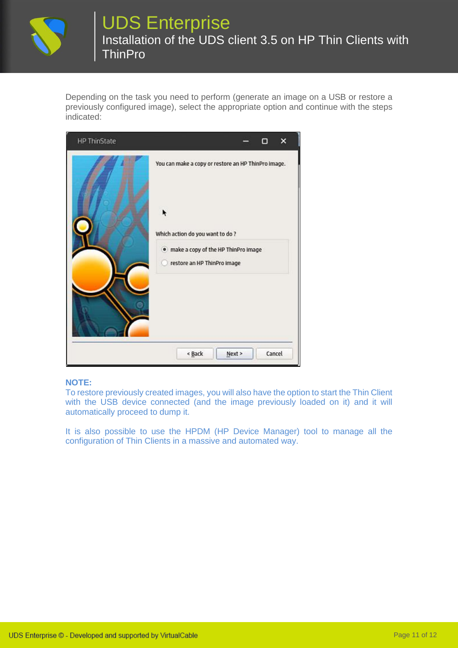

## UDS Enterprise Installation of the UDS client 3.5 on HP Thin Clients with **ThinPro**

Depending on the task you need to perform (generate an image on a USB or restore a previously configured image), select the appropriate option and continue with the steps indicated:

| <b>HP ThinState</b> | ×                                                                                                                                                              |
|---------------------|----------------------------------------------------------------------------------------------------------------------------------------------------------------|
|                     | You can make a copy or restore an HP ThinPro image.<br>Which action do you want to do?<br>. make a copy of the HP ThinPro image<br>restore an HP ThinPro image |
|                     | Cancel<br>< Back<br>Next >                                                                                                                                     |

#### **NOTE:**

To restore previously created images, you will also have the option to start the Thin Client with the USB device connected (and the image previously loaded on it) and it will automatically proceed to dump it.

It is also possible to use the HPDM (HP Device Manager) tool to manage all the configuration of Thin Clients in a massive and automated way.